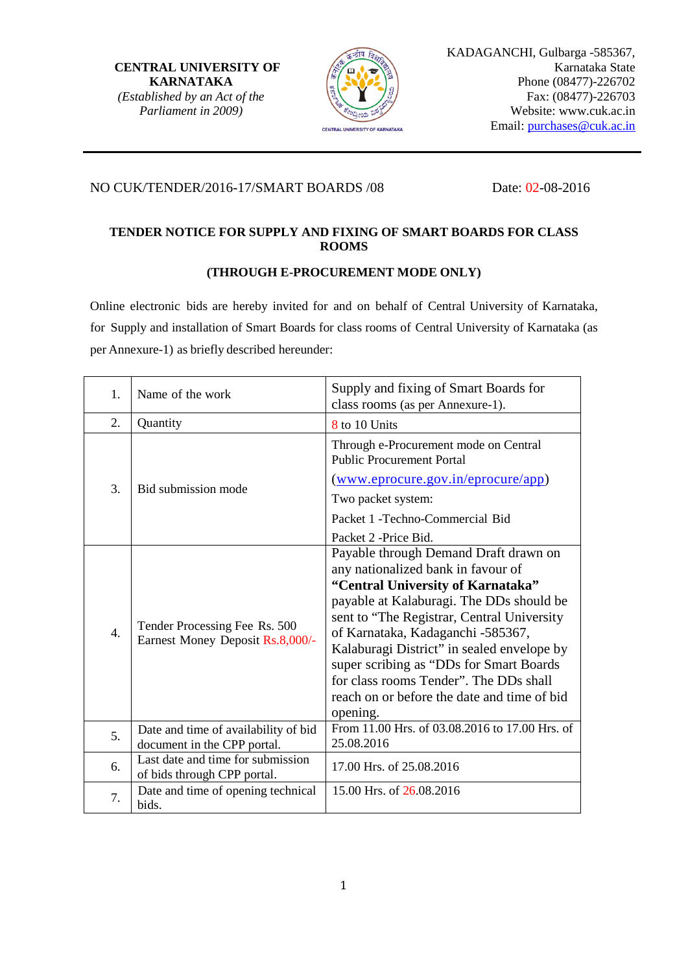**CENTRAL UNIVERSITY OF KARNATAKA** *(Established by an Act of the Parliament in 2009)*



## NO CUK/TENDER/2016-17/SMART BOARDS /08 Date: 02-08-2016

# **TENDER NOTICE FOR SUPPLY AND FIXING OF SMART BOARDS FOR CLASS ROOMS**

## **(THROUGH E-PROCUREMENT MODE ONLY)**

Online electronic bids are hereby invited for and on behalf of Central University of Karnataka, for Supply and installation of Smart Boards for class rooms of Central University of Karnataka (as per Annexure-1) as briefly described hereunder:

| 1.               | Name of the work                                                    | Supply and fixing of Smart Boards for<br>class rooms (as per Annexure-1).                                                                                                                                                                                                                                                                                                                                                          |  |  |
|------------------|---------------------------------------------------------------------|------------------------------------------------------------------------------------------------------------------------------------------------------------------------------------------------------------------------------------------------------------------------------------------------------------------------------------------------------------------------------------------------------------------------------------|--|--|
| 2.               | Quantity                                                            | 8 to 10 Units                                                                                                                                                                                                                                                                                                                                                                                                                      |  |  |
|                  |                                                                     | Through e-Procurement mode on Central<br><b>Public Procurement Portal</b>                                                                                                                                                                                                                                                                                                                                                          |  |  |
| 3.               | Bid submission mode                                                 | (www.eprocure.gov.in/eprocure/app)                                                                                                                                                                                                                                                                                                                                                                                                 |  |  |
|                  |                                                                     | Two packet system:                                                                                                                                                                                                                                                                                                                                                                                                                 |  |  |
|                  |                                                                     | Packet 1 - Techno-Commercial Bid                                                                                                                                                                                                                                                                                                                                                                                                   |  |  |
|                  |                                                                     | Packet 2 -Price Bid.                                                                                                                                                                                                                                                                                                                                                                                                               |  |  |
| $\overline{4}$ . | Tender Processing Fee Rs. 500<br>Earnest Money Deposit Rs.8,000/-   | Payable through Demand Draft drawn on<br>any nationalized bank in favour of<br>"Central University of Karnataka"<br>payable at Kalaburagi. The DDs should be<br>sent to "The Registrar, Central University<br>of Karnataka, Kadaganchi -585367,<br>Kalaburagi District" in sealed envelope by<br>super scribing as "DDs for Smart Boards"<br>for class rooms Tender". The DDs shall<br>reach on or before the date and time of bid |  |  |
|                  |                                                                     | opening.                                                                                                                                                                                                                                                                                                                                                                                                                           |  |  |
| 5.               | Date and time of availability of bid<br>document in the CPP portal. | From 11.00 Hrs. of 03.08.2016 to 17.00 Hrs. of<br>25.08.2016                                                                                                                                                                                                                                                                                                                                                                       |  |  |
| 6.               | Last date and time for submission<br>of bids through CPP portal.    | 17.00 Hrs. of 25.08.2016                                                                                                                                                                                                                                                                                                                                                                                                           |  |  |
| 7.               | Date and time of opening technical<br>bids.                         | 15.00 Hrs. of 26.08.2016                                                                                                                                                                                                                                                                                                                                                                                                           |  |  |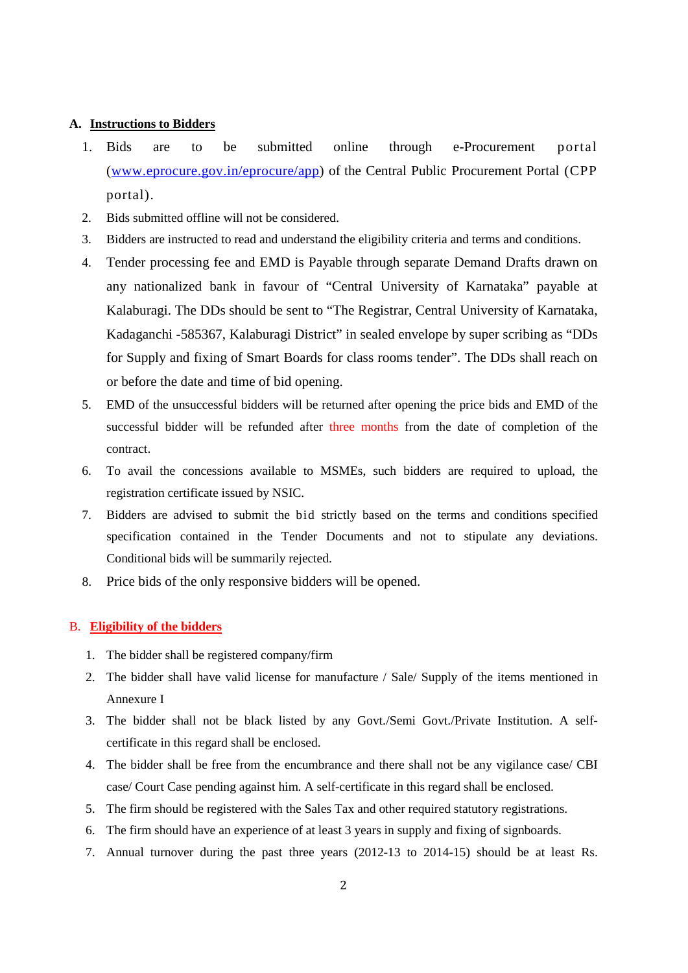#### **A. Instructions to Bidders**

- 1. Bids are to be submitted online through e-Procurement portal [\(www.eprocure.gov.in/eprocure/app\)](http://www.eprocure.gov.in/eprocure/app) of the Central Public Procurement Portal (CPP portal).
- 2. Bids submitted offline will not be considered.
- 3. Bidders are instructed to read and understand the eligibility criteria and terms and conditions.
- 4. Tender processing fee and EMD is Payable through separate Demand Drafts drawn on any nationalized bank in favour of "Central University of Karnataka" payable at Kalaburagi. The DDs should be sent to "The Registrar, Central University of Karnataka, Kadaganchi -585367, Kalaburagi District" in sealed envelope by super scribing as "DDs for Supply and fixing of Smart Boards for class rooms tender". The DDs shall reach on or before the date and time of bid opening.
- 5. EMD of the unsuccessful bidders will be returned after opening the price bids and EMD of the successful bidder will be refunded after three months from the date of completion of the contract.
- 6. To avail the concessions available to MSMEs, such bidders are required to upload, the registration certificate issued by NSIC.
- 7. Bidders are advised to submit the bid strictly based on the terms and conditions specified specification contained in the Tender Documents and not to stipulate any deviations. Conditional bids will be summarily rejected.
- 8. Price bids of the only responsive bidders will be opened.

## B. **Eligibility of the bidders**

- 1. The bidder shall be registered company/firm
- 2. The bidder shall have valid license for manufacture / Sale/ Supply of the items mentioned in Annexure I
- 3. The bidder shall not be black listed by any Govt./Semi Govt./Private Institution. A selfcertificate in this regard shall be enclosed.
- 4. The bidder shall be free from the encumbrance and there shall not be any vigilance case/ CBI case/ Court Case pending against him. A self-certificate in this regard shall be enclosed.
- 5. The firm should be registered with the Sales Tax and other required statutory registrations.
- 6. The firm should have an experience of at least 3 years in supply and fixing of signboards.
- 7. Annual turnover during the past three years (2012-13 to 2014-15) should be at least Rs.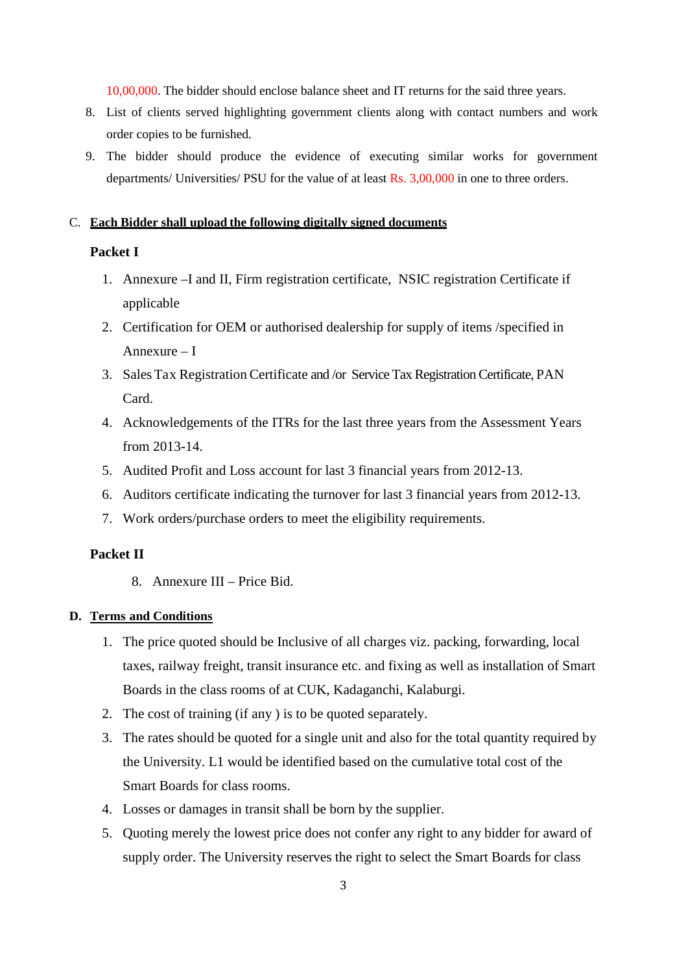10,00,000. The bidder should enclose balance sheet and IT returns for the said three years.

- 8. List of clients served highlighting government clients along with contact numbers and work order copies to be furnished.
- 9. The bidder should produce the evidence of executing similar works for government departments/ Universities/ PSU for the value of at least Rs. 3,00,000 in one to three orders.

## C. **Each Bidder shall upload the following digitally signed documents**

## **Packet I**

- 1. Annexure –I and II, Firm registration certificate, NSIC registration Certificate if applicable
- 2. Certification for OEM or authorised dealership for supply of items /specified in Annexure – I
- 3. SalesTax Registration Certificate and /or Service Tax Registration Certificate, PAN Card.
- 4. Acknowledgements of the ITRs for the last three years from the Assessment Years from 2013-14.
- 5. Audited Profit and Loss account for last 3 financial years from 2012-13.
- 6. Auditors certificate indicating the turnover for last 3 financial years from 2012-13.
- 7. Work orders/purchase orders to meet the eligibility requirements.

## **Packet II**

8. Annexure III – Price Bid.

#### **D. Terms and Conditions**

- 1. The price quoted should be Inclusive of all charges viz. packing, forwarding, local taxes, railway freight, transit insurance etc. and fixing as well as installation of Smart Boards in the class rooms of at CUK, Kadaganchi, Kalaburgi.
- 2. The cost of training (if any ) is to be quoted separately.
- 3. The rates should be quoted for a single unit and also for the total quantity required by the University. L1 would be identified based on the cumulative total cost of the Smart Boards for class rooms.
- 4. Losses or damages in transit shall be born by the supplier.
- 5. Quoting merely the lowest price does not confer any right to any bidder for award of supply order. The University reserves the right to select the Smart Boards for class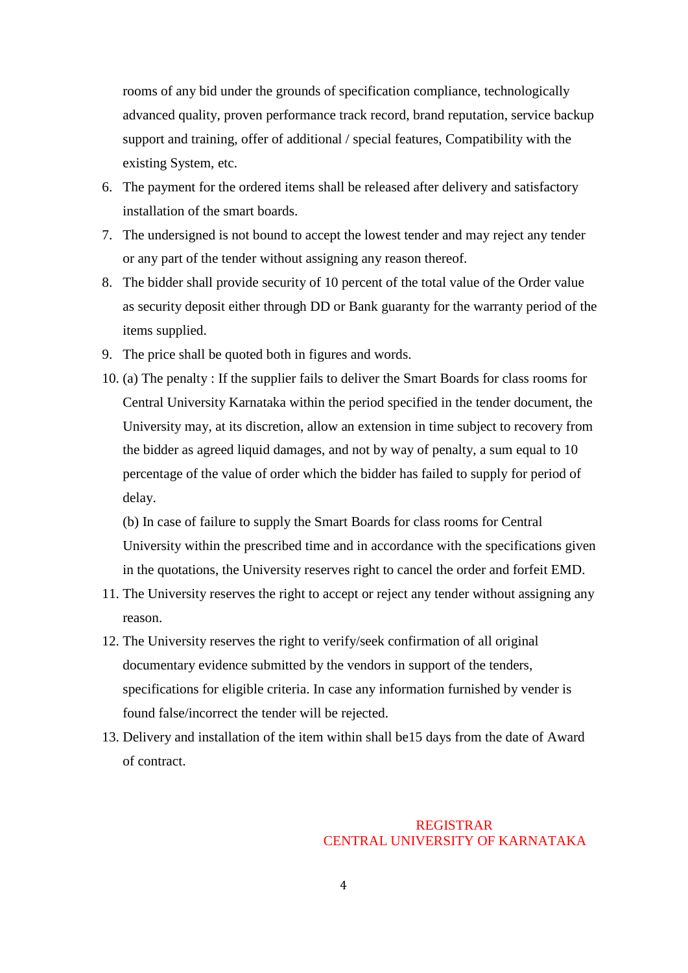rooms of any bid under the grounds of specification compliance, technologically advanced quality, proven performance track record, brand reputation, service backup support and training, offer of additional / special features, Compatibility with the existing System, etc.

- 6. The payment for the ordered items shall be released after delivery and satisfactory installation of the smart boards.
- 7. The undersigned is not bound to accept the lowest tender and may reject any tender or any part of the tender without assigning any reason thereof.
- 8. The bidder shall provide security of 10 percent of the total value of the Order value as security deposit either through DD or Bank guaranty for the warranty period of the items supplied.
- 9. The price shall be quoted both in figures and words.
- 10. (a) The penalty : If the supplier fails to deliver the Smart Boards for class rooms for Central University Karnataka within the period specified in the tender document, the University may, at its discretion, allow an extension in time subject to recovery from the bidder as agreed liquid damages, and not by way of penalty, a sum equal to 10 percentage of the value of order which the bidder has failed to supply for period of delay.

(b) In case of failure to supply the Smart Boards for class rooms for Central University within the prescribed time and in accordance with the specifications given in the quotations, the University reserves right to cancel the order and forfeit EMD.

- 11. The University reserves the right to accept or reject any tender without assigning any reason.
- 12. The University reserves the right to verify/seek confirmation of all original documentary evidence submitted by the vendors in support of the tenders, specifications for eligible criteria. In case any information furnished by vender is found false/incorrect the tender will be rejected.
- 13. Delivery and installation of the item within shall be15 days from the date of Award of contract.

# REGISTRAR CENTRAL UNIVERSITY OF KARNATAKA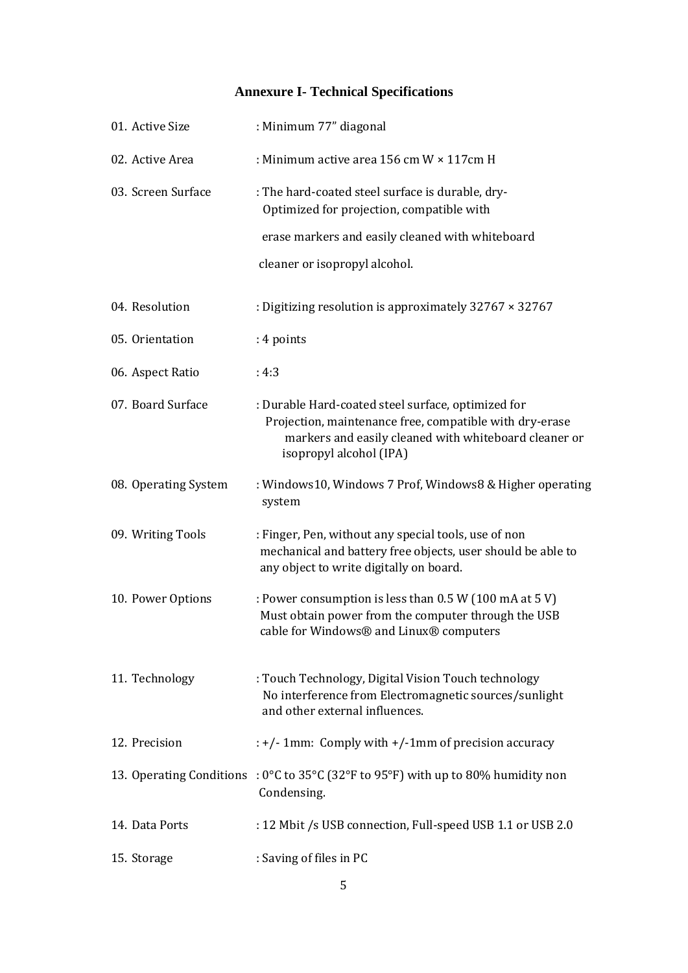# **Annexure I- Technical Specifications**

| 01. Active Size      | : Minimum 77" diagonal                                                                                                                                                                            |
|----------------------|---------------------------------------------------------------------------------------------------------------------------------------------------------------------------------------------------|
| 02. Active Area      | : Minimum active area 156 cm $W \times 117$ cm H                                                                                                                                                  |
| 03. Screen Surface   | : The hard-coated steel surface is durable, dry-<br>Optimized for projection, compatible with                                                                                                     |
|                      | erase markers and easily cleaned with whiteboard                                                                                                                                                  |
|                      | cleaner or isopropyl alcohol.                                                                                                                                                                     |
| 04. Resolution       | : Digitizing resolution is approximately $32767 \times 32767$                                                                                                                                     |
| 05. Orientation      | : 4 points                                                                                                                                                                                        |
| 06. Aspect Ratio     | : 4:3                                                                                                                                                                                             |
| 07. Board Surface    | : Durable Hard-coated steel surface, optimized for<br>Projection, maintenance free, compatible with dry-erase<br>markers and easily cleaned with whiteboard cleaner or<br>isopropyl alcohol (IPA) |
| 08. Operating System | : Windows10, Windows 7 Prof, Windows8 & Higher operating<br>system                                                                                                                                |
| 09. Writing Tools    | : Finger, Pen, without any special tools, use of non<br>mechanical and battery free objects, user should be able to<br>any object to write digitally on board.                                    |
| 10. Power Options    | : Power consumption is less than 0.5 W (100 mA at 5 V)<br>Must obtain power from the computer through the USB<br>cable for Windows® and Linux® computers                                          |
| 11. Technology       | : Touch Technology, Digital Vision Touch technology<br>No interference from Electromagnetic sources/sunlight<br>and other external influences.                                                    |
| 12. Precision        | $: +/- 1$ mm: Comply with $+/- 1$ mm of precision accuracy                                                                                                                                        |
|                      | 13. Operating Conditions : $0^{\circ}$ C to 35°C (32°F to 95°F) with up to 80% humidity non<br>Condensing.                                                                                        |
| 14. Data Ports       | : 12 Mbit /s USB connection, Full-speed USB 1.1 or USB 2.0                                                                                                                                        |
| 15. Storage          | : Saving of files in PC                                                                                                                                                                           |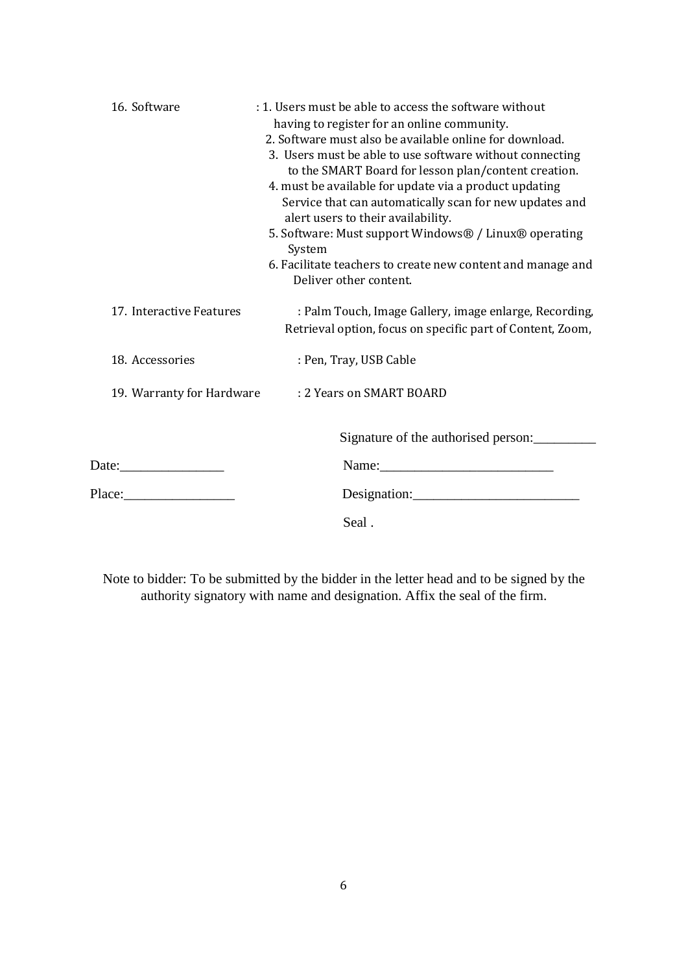| 16. Software              | : 1. Users must be able to access the software without          |
|---------------------------|-----------------------------------------------------------------|
|                           | having to register for an online community.                     |
|                           | 2. Software must also be available online for download.         |
|                           | 3. Users must be able to use software without connecting        |
|                           | to the SMART Board for lesson plan/content creation.            |
|                           | 4. must be available for update via a product updating          |
|                           | Service that can automatically scan for new updates and         |
|                           | alert users to their availability.                              |
|                           | 5. Software: Must support Windows® / Linux® operating<br>System |
|                           | 6. Facilitate teachers to create new content and manage and     |
|                           | Deliver other content.                                          |
|                           |                                                                 |
| 17. Interactive Features  | : Palm Touch, Image Gallery, image enlarge, Recording,          |
|                           | Retrieval option, focus on specific part of Content, Zoom,      |
| 18. Accessories           | : Pen, Tray, USB Cable                                          |
|                           |                                                                 |
| 19. Warranty for Hardware | : 2 Years on SMART BOARD                                        |
|                           |                                                                 |
|                           |                                                                 |
|                           | Signature of the authorised person:                             |
|                           |                                                                 |
|                           |                                                                 |
|                           |                                                                 |
|                           | Seal.                                                           |
|                           |                                                                 |

Note to bidder: To be submitted by the bidder in the letter head and to be signed by the authority signatory with name and designation. Affix the seal of the firm.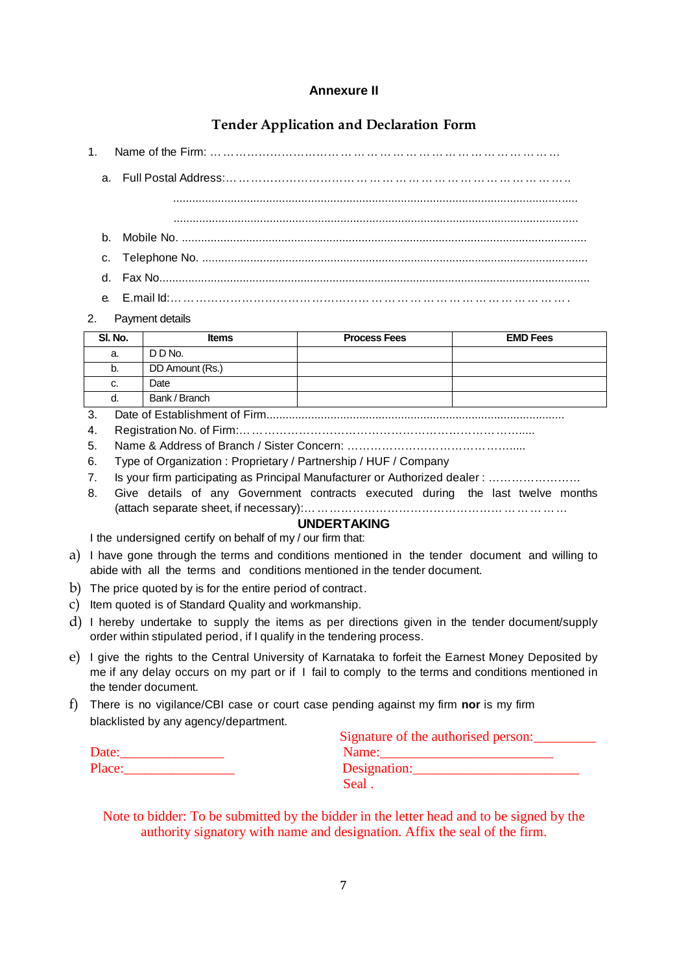## **Annexure II**

# **Tender Application and Declaration Form**

| ι. | vame or . |
|----|-----------|
|    |           |

a. Full Postal Address:………………………………………………………………………..

.............................................................................................................................. ..............................................................................................................................

- b. Mobile No. ..............................................................................................................................
- c. Telephone No. ........................................................................................................................
- d. Fax No......................................................................................................................................
- 
- e. E.mail Id:…………………………………………………………………………………….
- 2. Payment details

| SI. No. | <b>Items</b>     | <b>Process Fees</b> | <b>EMD Fees</b> |
|---------|------------------|---------------------|-----------------|
| a.      | DD <sub>No</sub> |                     |                 |
| b.      | DD Amount (Rs.)  |                     |                 |
| C.      | Date             |                     |                 |
| d.      | Bank / Branch    |                     |                 |

- 3. Date of Establishment of Firm.............................................................................................
- 4. Registration No. of Firm:……………………………………………………………….....
- 5. Name & Address of Branch / Sister Concern: …………………………………….....
- 6. Type of Organization : Proprietary / Partnership / HUF / Company
- 7. Is your firm participating as Principal Manufacturer or Authorized dealer : ……………………
- 8. Give details of any Government contracts executed during the last twelve months (attach separate sheet, if necessary):…………………………………………………………

#### **UNDERTAKING** I the undersigned certify on behalf of my / our firm that:

- a) I have gone through the terms and conditions mentioned in the tender document and willing to abide with all the terms and conditions mentioned in the tender document.
- b) The price quoted by is for the entire period of contract.
- c) Item quoted is of Standard Quality and workmanship.
- d) I hereby undertake to supply the items as per directions given in the tender document/supply order within stipulated period, if I qualify in the tendering process.
- e) I give the rights to the Central University of Karnataka to forfeit the Earnest Money Deposited by me if any delay occurs on my part or if I fail to comply to the terms and conditions mentioned in the tender document.
- f) There is no vigilance/CBI case or court case pending against my firm **nor** is my firm blacklisted by any agency/department.

|        | Signature of the authorised person: |  |
|--------|-------------------------------------|--|
| Date:  | Name:                               |  |
| Place: | Designation:                        |  |
|        | Seal.                               |  |

Note to bidder: To be submitted by the bidder in the letter head and to be signed by the authority signatory with name and designation. Affix the seal of the firm.